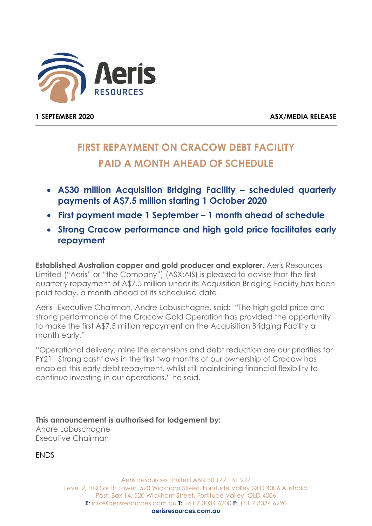

1 SEPTEMBER 2020 ASX/MEDIA RELEASE

## FIRST REPAYMENT ON CRACOW DEBT FACILITY PAID A MONTH AHEAD OF SCHEDULE

- A\$30 million Acquisition Bridging Facility scheduled quarterly payments of A\$7.5 million starting 1 October 2020
- First payment made 1 September 1 month ahead of schedule
- Strong Cracow performance and high gold price facilitates early repayment

Established Australian copper and gold producer and explorer, Aeris Resources Limited ("Aeris" or "the Company") (ASX:AIS) is pleased to advise that the first quarterly repayment of A\$7.5 million under its Acquisition Bridging Facility has been paid today, a month ahead of its scheduled date.

Aeris' Executive Chairman, Andre Labuschagne, said: "The high gold price and strong performance of the Cracow Gold Operation has provided the opportunity to make the first A\$7.5 million repayment on the Acquisition Bridging Facility a month early."

"Operational delivery, mine life extensions and debt reduction are our priorities for FY21. Strong cashflows in the first two months of our ownership of Cracow has enabled this early debt repayment, whilst still maintaining financial flexibility to continue investing in our operations." he said.

This announcement is authorised for lodgement by: Andre Labuschagne Executive Chairman

**ENDS** 

Aeris Resources Limited ABN 30 147 131 977 Level 2, HQ South Tower, 520 Wickham Street, Fortitude Valley QLD 4006 Australia Post: Box 14, 520 Wickham Street, Fortitude Valley, QLD 4006 E: info@aerisresources.com.au T: +61 7 3034 6200 F: +61 7 3034 6290 aerisresources.com.au